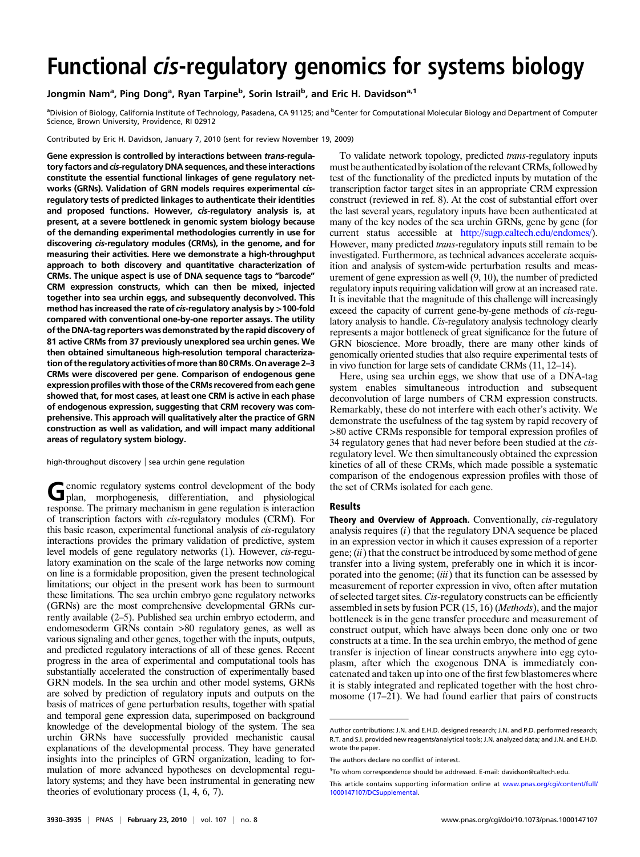## Functional cis-regulatory genomics for systems biology

Jongmin Nam<sup>a</sup>, Ping Dong<sup>a</sup>, Ryan Tarpine<sup>b</sup>, Sorin Istrail<sup>b</sup>, and Eric H. Davidson<sup>a, 1</sup>

<sup>a</sup>Division of Biology, California Institute of Technology, Pasadena, CA 91125; and <sup>b</sup>Center for Computational Molecular Biology and Department of Computer Science, Brown University, Providence, RI 02912

Contributed by Eric H. Davidson, January 7, 2010 (sent for review November 19, 2009)

Gene expression is controlled by interactions between trans-regulatory factors and cis-regulatory DNA sequences, and these interactions constitute the essential functional linkages of gene regulatory networks (GRNs). Validation of GRN models requires experimental cisregulatory tests of predicted linkages to authenticate their identities and proposed functions. However, cis-regulatory analysis is, at present, at a severe bottleneck in genomic system biology because of the demanding experimental methodologies currently in use for discovering cis-regulatory modules (CRMs), in the genome, and for measuring their activities. Here we demonstrate a high-throughput approach to both discovery and quantitative characterization of CRMs. The unique aspect is use of DNA sequence tags to "barcode" CRM expression constructs, which can then be mixed, injected together into sea urchin eggs, and subsequently deconvolved. This method has increased the rate of cis-regulatory analysis by >100-fold compared with conventional one-by-one reporter assays. The utility of the DNA-tag reporters was demonstrated by the rapid discovery of 81 active CRMs from 37 previously unexplored sea urchin genes. We then obtained simultaneous high-resolution temporal characterization of the regulatory activities of more than 80 CRMs. On average 2-3 CRMs were discovered per gene. Comparison of endogenous gene expression profiles with those of the CRMs recovered from each gene showed that, for most cases, at least one CRM is active in each phase of endogenous expression, suggesting that CRM recovery was comprehensive. This approach will qualitatively alter the practice of GRN construction as well as validation, and will impact many additional areas of regulatory system biology.

high-throughput discovery | sea urchin gene regulation

Genomic regulatory systems control development of the body plan, morphogenesis, differentiation, and physiological response. The primary mechanism in gene regulation is interaction of transcription factors with cis-regulatory modules (CRM). For this basic reason, experimental functional analysis of *cis*-regulatory interactions provides the primary validation of predictive, system level models of gene regulatory networks (1). However, cis-regulatory examination on the scale of the large networks now coming on line is a formidable proposition, given the present technological limitations; our object in the present work has been to surmount these limitations. The sea urchin embryo gene regulatory networks (GRNs) are the most comprehensive developmental GRNs currently available (2–5). Published sea urchin embryo ectoderm, and endomesoderm GRNs contain >80 regulatory genes, as well as various signaling and other genes, together with the inputs, outputs, and predicted regulatory interactions of all of these genes. Recent progress in the area of experimental and computational tools has substantially accelerated the construction of experimentally based GRN models. In the sea urchin and other model systems, GRNs are solved by prediction of regulatory inputs and outputs on the basis of matrices of gene perturbation results, together with spatial and temporal gene expression data, superimposed on background knowledge of the developmental biology of the system. The sea urchin GRNs have successfully provided mechanistic causal explanations of the developmental process. They have generated insights into the principles of GRN organization, leading to formulation of more advanced hypotheses on developmental regulatory systems; and they have been instrumental in generating new theories of evolutionary process (1, 4, 6, 7).

To validate network topology, predicted trans-regulatory inputs must be authenticated by isolation of the relevant CRMs, followed by test of the functionality of the predicted inputs by mutation of the transcription factor target sites in an appropriate CRM expression construct (reviewed in ref. 8). At the cost of substantial effort over the last several years, regulatory inputs have been authenticated at many of the key nodes of the sea urchin GRNs, gene by gene (for current status accessible at [http://sugp.caltech.edu/endomes/\)](http://sugp.caltech.edu/endomes/). However, many predicted trans-regulatory inputs still remain to be investigated. Furthermore, as technical advances accelerate acquisition and analysis of system-wide perturbation results and measurement of gene expression as well (9, 10), the number of predicted regulatory inputs requiring validation will grow at an increased rate. It is inevitable that the magnitude of this challenge will increasingly exceed the capacity of current gene-by-gene methods of cis-regulatory analysis to handle. Cis-regulatory analysis technology clearly represents a major bottleneck of great significance for the future of GRN bioscience. More broadly, there are many other kinds of genomically oriented studies that also require experimental tests of in vivo function for large sets of candidate CRMs (11, 12–14).

Here, using sea urchin eggs, we show that use of a DNA-tag system enables simultaneous introduction and subsequent deconvolution of large numbers of CRM expression constructs. Remarkably, these do not interfere with each other's activity. We demonstrate the usefulness of the tag system by rapid recovery of >80 active CRMs responsible for temporal expression profiles of 34 regulatory genes that had never before been studied at the cisregulatory level. We then simultaneously obtained the expression kinetics of all of these CRMs, which made possible a systematic comparison of the endogenous expression profiles with those of the set of CRMs isolated for each gene.

## Results

Theory and Overview of Approach. Conventionally, cis-regulatory analysis requires  $(i)$  that the regulatory DNA sequence be placed in an expression vector in which it causes expression of a reporter gene;  $(ii)$  that the construct be introduced by some method of gene transfer into a living system, preferably one in which it is incorporated into the genome;  $(iii)$  that its function can be assessed by measurement of reporter expression in vivo, often after mutation of selected target sites. Cis-regulatory constructs can be efficiently assembled in sets by fusion PCR (15, 16) (Methods), and the major bottleneck is in the gene transfer procedure and measurement of construct output, which have always been done only one or two constructs at a time. In the sea urchin embryo, the method of gene transfer is injection of linear constructs anywhere into egg cytoplasm, after which the exogenous DNA is immediately concatenated and taken up into one of the first few blastomeres where it is stably integrated and replicated together with the host chromosome (17–21). We had found earlier that pairs of constructs

Author contributions: J.N. and E.H.D. designed research; J.N. and P.D. performed research; R.T. and S.I. provided new reagents/analytical tools; J.N. analyzed data; and J.N. and E.H.D. wrote the paper.

The authors declare no conflict of interest.

<sup>&</sup>lt;sup>1</sup>To whom correspondence should be addressed. E-mail: davidson@caltech.edu.

This article contains supporting information online at [www.pnas.org/cgi/content/full/](http://www.pnas.org/cgi/content/full/1000147107/DCSupplemental) [1000147107/DCSupplemental.](http://www.pnas.org/cgi/content/full/1000147107/DCSupplemental)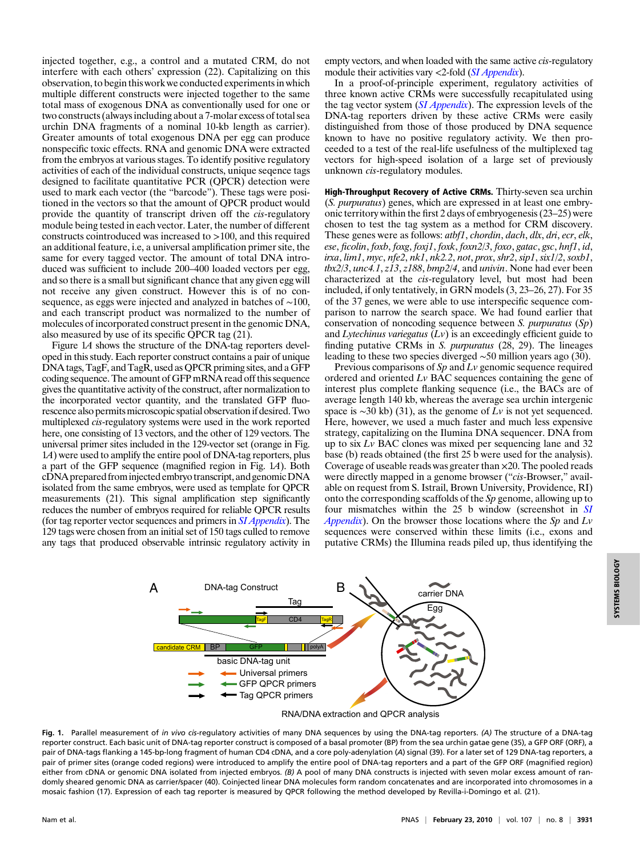injected together, e.g., a control and a mutated CRM, do not interfere with each others' expression (22). Capitalizing on this observation, to begin this work we conducted experiments in which multiple different constructs were injected together to the same total mass of exogenous DNA as conventionally used for one or two constructs (always including about a 7-molar excess of total sea urchin DNA fragments of a nominal 10-kb length as carrier). Greater amounts of total exogenous DNA per egg can produce nonspecific toxic effects. RNA and genomic DNA were extracted from the embryos at various stages. To identify positive regulatory activities of each of the individual constructs, unique seqence tags designed to facilitate quantitative PCR (QPCR) detection were used to mark each vector (the "barcode"). These tags were positioned in the vectors so that the amount of QPCR product would provide the quantity of transcript driven off the cis-regulatory module being tested in each vector. Later, the number of different constructs cointroduced was increased to >100, and this required an additional feature, i.e, a universal amplification primer site, the same for every tagged vector. The amount of total DNA introduced was sufficient to include 200–400 loaded vectors per egg, and so there is a small but significant chance that any given egg will not receive any given construct. However this is of no consequence, as eggs were injected and analyzed in batches of ∼100, and each transcript product was normalized to the number of molecules of incorporated construct present in the genomic DNA, also measured by use of its specific QPCR tag (21).

Figure 1A shows the structure of the DNA-tag reporters developed in this study. Each reporter construct contains a pair of unique DNA tags, TagF, and TagR, used as QPCR priming sites, and a GFP coding sequence. The amount of GFP mRNA read off this sequence gives the quantitative activity of the construct, after normalization to the incorporated vector quantity, and the translated GFP fluorescence also permits microscopic spatial observation if desired. Two multiplexed cis-regulatory systems were used in the work reported here, one consisting of 13 vectors, and the other of 129 vectors. The universal primer sites included in the 129-vector set (orange in Fig. 1A) were used to amplify the entire pool of DNA-tag reporters, plus a part of the GFP sequence (magnified region in Fig. 1A). Both cDNA prepared frominjected embryo transcript, and genomicDNA isolated from the same embryos, were used as template for QPCR measurements (21). This signal amplification step significantly reduces the number of embryos required for reliable QPCR results (for tag reporter vector sequences and primers in [SI Appendix](http://www.pnas.org/cgi/data/1000147107/DCSupplemental/Supplemental_PDF#nameddest=stxt)). The 129 tags were chosen from an initial set of 150 tags culled to remove any tags that produced observable intrinsic regulatory activity in

empty vectors, and when loaded with the same active *cis*-regulatory module their activities vary  $\langle 2\text{-fold } (SI Appendix).$  $\langle 2\text{-fold } (SI Appendix).$  $\langle 2\text{-fold } (SI Appendix).$ 

In a proof-of-principle experiment, regulatory activities of three known active CRMs were successfully recapitulated using the tag vector system (*[SI Appendix](http://www.pnas.org/cgi/data/1000147107/DCSupplemental/Supplemental_PDF#nameddest=stxt)*). The expression levels of the DNA-tag reporters driven by these active CRMs were easily distinguished from those of those produced by DNA sequence known to have no positive regulatory activity. We then proceeded to a test of the real-life usefulness of the multiplexed tag vectors for high-speed isolation of a large set of previously unknown cis-regulatory modules.

High-Throughput Recovery of Active CRMs. Thirty-seven sea urchin (S. purpuratus) genes, which are expressed in at least one embryonic territory within the first 2 days of embryogenesis (23–25) were chosen to test the tag system as a method for CRM discovery. These genes were as follows: atbf1, chordin, dach, dlx, dri, ecr, elk, ese, ficolin, foxb, foxg, foxj1, foxk, foxn2/3, foxo, gatac, gsc, hnf1, id, irxa, lim1, myc, nfe2, nk1, nk2.2, not, prox, shr2, sip1, six1/2, soxb1, tbx2/3, unc4.1, z13, z188, bmp2/4, and univin. None had ever been characterized at the cis-regulatory level, but most had been included, if only tentatively, in GRN models (3, 23–26, 27). For 35 of the 37 genes, we were able to use interspecific sequence comparison to narrow the search space. We had found earlier that conservation of noncoding sequence between S. purpuratus (Sp) and Lytechinus variegatus  $(Lv)$  is an exceedingly efficient guide to finding putative CRMs in S. purpuratus (28, 29). The lineages leading to these two species diverged ∼50 million years ago (30).

Previous comparisons of Sp and L<sub>v</sub> genomic sequence required ordered and oriented  $Lv$  BAC sequences containing the gene of interest plus complete flanking sequence (i.e., the BACs are of average length 140 kb, whereas the average sea urchin intergenic space is  $\sim$ 30 kb) (31), as the genome of Lv is not yet sequenced. Here, however, we used a much faster and much less expensive strategy, capitalizing on the Ilumina DNA sequencer. DNA from up to six Lv BAC clones was mixed per sequencing lane and 32 base (b) reads obtained (the first 25 b were used for the analysis). Coverage of useable reads was greater than ×20. The pooled reads were directly mapped in a genome browser ("cis-Browser," available on request from S. Istrail, Brown University, Providence, RI) onto the corresponding scaffolds of the Sp genome, allowing up to four mismatches within the 25 b window (screenshot in [SI](http://www.pnas.org/cgi/data/1000147107/DCSupplemental/Supplemental_PDF#nameddest=stxt) [Appendix](http://www.pnas.org/cgi/data/1000147107/DCSupplemental/Supplemental_PDF#nameddest=stxt)). On the browser those locations where the  $Sp$  and  $Lv$ sequences were conserved within these limits (i.e., exons and putative CRMs) the Illumina reads piled up, thus identifying the



Fig. 1. Parallel measurement of in vivo cis-regulatory activities of many DNA sequences by using the DNA-tag reporters. (A) The structure of a DNA-tag reporter construct. Each basic unit of DNA-tag reporter construct is composed of a basal promoter (BP) from the sea urchin gatae gene (35), a GFP ORF (ORF), a pair of DNA-tags flanking a 145-bp-long fragment of human CD4 cDNA, and a core poly-adenylation (A) signal (39). For a later set of 129 DNA-tag reporters, a pair of primer sites (orange coded regions) were introduced to amplify the entire pool of DNA-tag reporters and a part of the GFP ORF (magnified region) either from cDNA or genomic DNA isolated from injected embryos. (B) A pool of many DNA constructs is injected with seven molar excess amount of randomly sheared genomic DNA as carrier/spacer (40). Coinjected linear DNA molecules form random concatenates and are incorporated into chromosomes in a mosaic fashion (17). Expression of each tag reporter is measured by QPCR following the method developed by Revilla-i-Domingo et al. (21).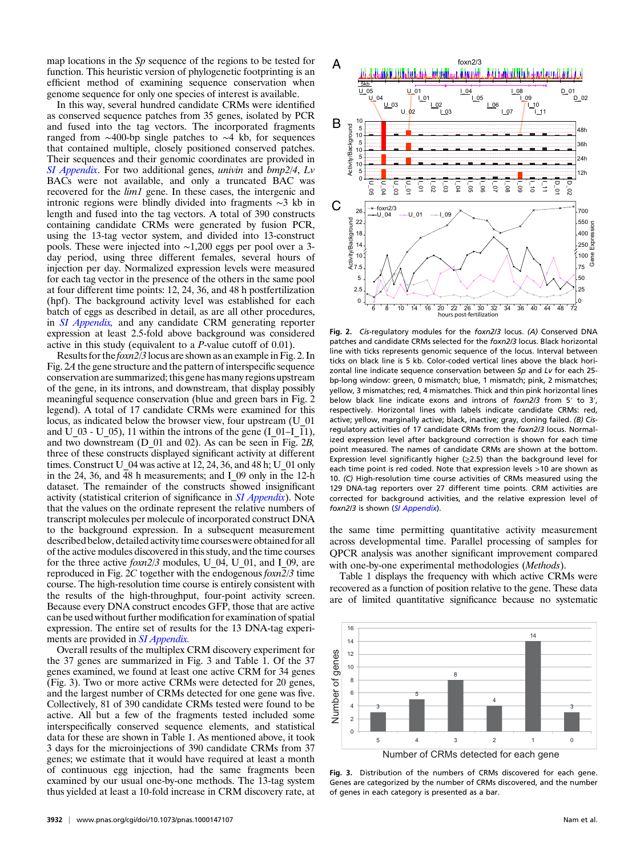map locations in the *Sp* sequence of the regions to be tested for function. This heuristic version of phylogenetic footprinting is an efficient method of examining sequence conservation when genome sequence for only one species of interest is available.

In this way, several hundred candidate CRMs were identified as conserved sequence patches from 35 genes, isolated by PCR and fused into the tag vectors. The incorporated fragments ranged from ∼400-bp single patches to ∼4 kb, for sequences that contained multiple, closely positioned conserved patches. Their sequences and their genomic coordinates are provided in [SI Appendix](http://www.pnas.org/cgi/data/1000147107/DCSupplemental/Supplemental_PDF#nameddest=stxt). For two additional genes, univin and  $bmp2/4$ , Lv BACs were not available, and only a truncated BAC was recovered for the *lim1* gene. In these cases, the intergenic and intronic regions were blindly divided into fragments ∼3 kb in length and fused into the tag vectors. A total of 390 constructs containing candidate CRMs were generated by fusion PCR, using the 13-tag vector system, and divided into 13-construct pools. These were injected into ∼1,200 eggs per pool over a 3 day period, using three different females, several hours of injection per day. Normalized expression levels were measured for each tag vector in the presence of the others in the same pool at four different time points: 12, 24, 36, and 48 h postfertilization (hpf). The background activity level was established for each batch of eggs as described in detail, as are all other procedures, in *SI Appendix*, and any candidate CRM generating reporter expression at least 2.5-fold above background was considered active in this study (equivalent to a P-value cutoff of 0.01).

Results for the foxn2/3 locus are shown as an example in Fig. 2. In Fig. 2A the gene structure and the pattern of interspecific sequence conservation are summarized; this gene has many regions upstream of the gene, in its introns, and downstream, that display possibly meaningful sequence conservation (blue and green bars in Fig. 2 legend). A total of 17 candidate CRMs were examined for this locus, as indicated below the browser view, four upstream (U\_01 and U  $(03 - U_05)$ , 11 within the introns of the gene (I  $(01-I_01)$ ), and two downstream (D\_01 and 02). As can be seen in Fig. 2B, three of these constructs displayed significant activity at different times. Construct U\_04 was active at 12, 24, 36, and 48 h; U\_01 only in the 24, 36, and 48 h measurements; and I\_09 only in the 12-h dataset. The remainder of the constructs showed insignificant activity (statistical criterion of significance in [SI Appendix](http://www.pnas.org/cgi/data/1000147107/DCSupplemental/Supplemental_PDF#nameddest=stxt)). Note that the values on the ordinate represent the relative numbers of transcript molecules per molecule of incorporated construct DNA to the background expression. In a subsequent measurement described below, detailed activity time courses were obtained for all of the active modules discovered in this study, and the time courses for the three active  $f(x)/3$  modules, U\_04, U\_01, and I\_09, are reproduced in Fig. 2C together with the endogenous foxn2/3 time course. The high-resolution time course is entirely consistent with the results of the high-throughput, four-point activity screen. Because every DNA construct encodes GFP, those that are active can be used without further modification for examination of spatial expression. The entire set of results for the 13 DNA-tag experiments are provided in *SI Appendix*.

Overall results of the multiplex CRM discovery experiment for the 37 genes are summarized in Fig. 3 and Table 1. Of the 37 genes examined, we found at least one active CRM for 34 genes (Fig. 3). Two or more active CRMs were detected for 20 genes, and the largest number of CRMs detected for one gene was five. Collectively, 81 of 390 candidate CRMs tested were found to be active. All but a few of the fragments tested included some interspecifically conserved sequence elements, and statistical data for these are shown in Table 1. As mentioned above, it took 3 days for the microinjections of 390 candidate CRMs from 37 genes; we estimate that it would have required at least a month of continuous egg injection, had the same fragments been examined by our usual one-by-one methods. The 13-tag system thus yielded at least a 10-fold increase in CRM discovery rate, at



**Expression** (and the limited content in the convertion is shown for each than the same the same time significance because  $\frac{25}{4}$  and  $\frac{4}{3}$  and  $\frac{4}{3}$  and  $\frac{4}{3}$  and  $\frac{4}{3}$  and  $\frac{4}{3}$  and  $\frac{4}{3}$  and Fig. 2. Cis-regulatory modules for the foxn2/3 locus. (A) Conserved DNA patches and candidate CRMs selected for the foxn2/3 locus. Black horizontal line with ticks represents genomic sequence of the locus. Interval between ticks on black line is 5 kb. Color-coded vertical lines above the black horizontal line indicate sequence conservation between Sp and Lv for each 25bp-long window: green, 0 mismatch; blue, 1 mismatch; pink, 2 mismatches; yellow, 3 mismatches; red, 4 mismatches. Thick and thin pink horizontal lines below black line indicate exons and introns of foxn2/3 from 5′ to 3′, respectively. Horizontal lines with labels indicate candidate CRMs: red, active; yellow, marginally active; black, inactive; gray, cloning failed. (B) Cisregulatory activities of 17 candidate CRMs from the foxn2/3 locus. Normalized expression level after background correction is shown for each time point measured. The names of candidate CRMs are shown at the bottom. Expression level significantly higher ( $\geq$ 2.5) than the background level for each time point is red coded. Note that expression levels >10 are shown as 10. (C) High-resolution time course activities of CRMs measured using the 129 DNA-tag reporters over 27 different time points. CRM activities are corrected for background activities, and the relative expression level of foxn2/3 is shown ([SI Appendix](http://www.pnas.org/cgi/data/1000147107/DCSupplemental/Supplemental_PDF#nameddest=stxt)).

the same time permitting quantitative activity measurement across developmental time. Parallel processing of samples for QPCR analysis was another significant improvement compared with one-by-one experimental methodologies (Methods).

Table 1 displays the frequency with which active CRMs were recovered as a function of position relative to the gene. These data



Fig. 3. Distribution of the numbers of CRMs discovered for each gene. Genes are categorized by the number of CRMs discovered, and the number of genes in each category is presented as a bar.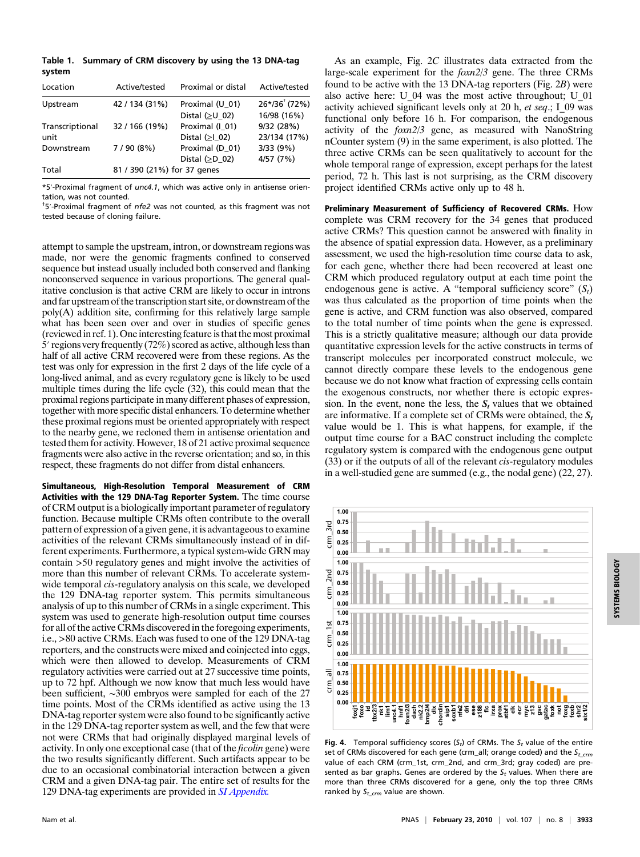Table 1. Summary of CRM discovery by using the 13 DNA-tag system

| Location                | Active/tested               | Proximal or distal                  | Active/tested                              |
|-------------------------|-----------------------------|-------------------------------------|--------------------------------------------|
| Upstream                | 42 / 134 (31%)              | Proximal (U 01)<br>Distal $(≥U 02)$ | $26*/36$ <sup>t</sup> (72%)<br>16/98 (16%) |
| Transcriptional<br>unit | 32 / 166 (19%)              | Proximal (I 01)<br>Distal $(≥1 02)$ | 9/32 (28%)<br>23/134 (17%)                 |
| Downstream              | 7/90(8%)                    | Proximal (D 01)<br>Distal $(2D 02)$ | 3/33(9%)<br>4/57 (7%)                      |
| Total                   | 81 / 390 (21%) for 37 genes |                                     |                                            |

\*5′-Proximal fragment of unc4.1, which was active only in antisense orientation, was not counted.

<sup>+</sup>5'-Proximal fragment of nfe2 was not counted, as this fragment was not tested because of cloning failure.

attempt to sample the upstream, intron, or downstream regions was made, nor were the genomic fragments confined to conserved sequence but instead usually included both conserved and flanking nonconserved sequence in various proportions. The general qualitative conclusion is that active CRM are likely to occur in introns and far upstream of the transcription start site, or downstream of the poly(A) addition site, confirming for this relatively large sample what has been seen over and over in studies of specific genes (reviewed in ref. 1). One interesting feature is that the most proximal  $5'$  regions very frequently (72%) scored as active, although less than half of all active CRM recovered were from these regions. As the test was only for expression in the first 2 days of the life cycle of a long-lived animal, and as every regulatory gene is likely to be used multiple times during the life cycle (32), this could mean that the proximal regions participate in many different phases of expression, together with more specific distal enhancers. To determine whether these proximal regions must be oriented appropriately with respect to the nearby gene, we recloned them in antisense orientation and tested them for activity. However, 18 of 21 active proximal sequence fragments were also active in the reverse orientation; and so, in this respect, these fragments do not differ from distal enhancers.

Simultaneous, High-Resolution Temporal Measurement of CRM Activities with the 129 DNA-Tag Reporter System. The time course of CRM output is a biologically important parameter of regulatory function. Because multiple CRMs often contribute to the overall pattern of expression of a given gene, it is advantageous to examine activities of the relevant CRMs simultaneously instead of in different experiments. Furthermore, a typical system-wide GRN may contain >50 regulatory genes and might involve the activities of more than this number of relevant CRMs. To accelerate systemwide temporal *cis*-regulatory analysis on this scale, we developed the 129 DNA-tag reporter system. This permits simultaneous analysis of up to this number of CRMs in a single experiment. This system was used to generate high-resolution output time courses for all of the active CRMs discovered in the foregoing experiments, i.e., >80 active CRMs. Each was fused to one of the 129 DNA-tag reporters, and the constructs were mixed and coinjected into eggs, which were then allowed to develop. Measurements of CRM regulatory activities were carried out at 27 successive time points, up to 72 hpf. Although we now know that much less would have been sufficient, ∼300 embryos were sampled for each of the 27 time points. Most of the CRMs identified as active using the 13 DNA-tag reporter system were also found to be significantly active in the 129 DNA-tag reporter system as well, and the few that were not were CRMs that had originally displayed marginal levels of activity. In only one exceptional case (that of the ficolin gene) were the two results significantly different. Such artifacts appear to be due to an occasional combinatorial interaction between a given CRM and a given DNA-tag pair. The entire set of results for the 129 DNA-tag experiments are provided in *SI Appendix*.

As an example, Fig. 2C illustrates data extracted from the large-scale experiment for the foxn2/3 gene. The three CRMs found to be active with the 13 DNA-tag reporters (Fig. 2B) were also active here: U\_04 was the most active throughout; U\_01 activity achieved significant levels only at 20 h, *et seq.*;  $I_0$ 9 was functional only before 16 h. For comparison, the endogenous activity of the foxn2/3 gene, as measured with NanoString nCounter system (9) in the same experiment, is also plotted. The three active CRMs can be seen qualitatively to account for the whole temporal range of expression, except perhaps for the latest period, 72 h. This last is not surprising, as the CRM discovery project identified CRMs active only up to 48 h.

Preliminary Measurement of Sufficiency of Recovered CRMs. How complete was CRM recovery for the 34 genes that produced active CRMs? This question cannot be answered with finality in the absence of spatial expression data. However, as a preliminary assessment, we used the high-resolution time course data to ask, for each gene, whether there had been recovered at least one CRM which produced regulatory output at each time point the endogenous gene is active. A "temporal sufficiency score"  $(S_t)$ was thus calculated as the proportion of time points when the gene is active, and CRM function was also observed, compared to the total number of time points when the gene is expressed. This is a strictly qualitative measure; although our data provide quantitative expression levels for the active constructs in terms of transcript molecules per incorporated construct molecule, we cannot directly compare these levels to the endogenous gene because we do not know what fraction of expressing cells contain the exogenous constructs, nor whether there is ectopic expression. In the event, none the less, the  $S_t$  values that we obtained are informative. If a complete set of CRMs were obtained, the  $S_t$ value would be 1. This is what happens, for example, if the output time course for a BAC construct including the complete regulatory system is compared with the endogenous gene output (33) or if the outputs of all of the relevant cis-regulatory modules in a well-studied gene are summed (e.g., the nodal gene) (22, 27).



Fig. 4. Temporal sufficiency scores (S<sub>t</sub>) of CRMs. The S<sub>t</sub> value of the entire set of CRMs discovered for each gene (crm\_all; orange coded) and the  $S_{t\_crm}$ value of each CRM (crm\_1st, crm\_2nd, and crm\_3rd; gray coded) are presented as bar graphs. Genes are ordered by the  $S_t$  values. When there are more than three CRMs discovered for a gene, only the top three CRMs ranked by  $S_t$ <sub>crm</sub> value are shown.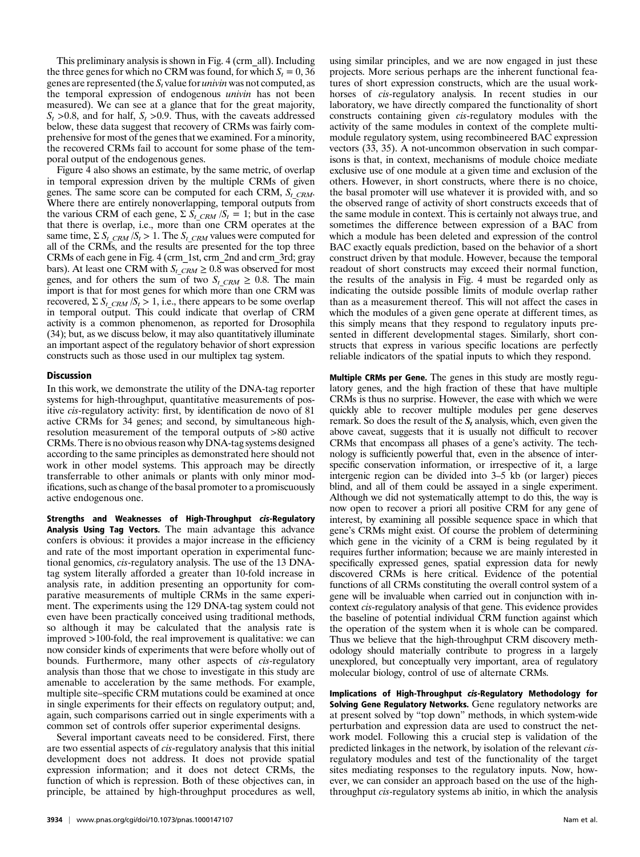This preliminary analysis is shown in Fig. 4 (crm\_all). Including the three genes for which no CRM was found, for which  $S_t = 0$ , 36 genes are represented (the  $S_t$  value for *univin* was not computed, as the temporal expression of endogenous univin has not been measured). We can see at a glance that for the great majority,  $S_t > 0.8$ , and for half,  $S_t > 0.9$ . Thus, with the caveats addressed below, these data suggest that recovery of CRMs was fairly comprehensive for most of the genes that we examined. For a minority, the recovered CRMs fail to account for some phase of the temporal output of the endogenous genes.

Figure 4 also shows an estimate, by the same metric, of overlap in temporal expression driven by the multiple CRMs of given genes. The same score can be computed for each CRM,  $S_t$   $_{CRM}$ . Where there are entirely nonoverlapping, temporal outputs from the various CRM of each gene,  $\sum S_t$  CRM  $/S_t = 1$ ; but in the case that there is overlap, i.e., more than one CRM operates at the same time,  $\sum S_t$   $\sum_{CRM}$  /S<sub>t</sub> > 1. The S<sub>t CRM</sub> values were computed for all of the CRMs, and the results are presented for the top three CRMs of each gene in Fig. 4 (crm\_1st, crm\_2nd and crm\_3rd; gray bars). At least one CRM with  $S_t$ <sub>CRM</sub>  $\geq$  0.8 was observed for most genes, and for others the sum of two  $S_{t\_CRM} \geq 0.8$ . The main import is that for most genes for which more than one CRM was recovered,  $\sum S_t$ <sub>CRM</sub> /S<sub>t</sub> > 1, i.e., there appears to be some overlap in temporal output. This could indicate that overlap of CRM activity is a common phenomenon, as reported for Drosophila (34); but, as we discuss below, it may also quantitatively illuminate an important aspect of the regulatory behavior of short expression constructs such as those used in our multiplex tag system.

## **Discussion**

In this work, we demonstrate the utility of the DNA-tag reporter systems for high-throughput, quantitative measurements of positive cis-regulatory activity: first, by identification de novo of 81 active CRMs for 34 genes; and second, by simultaneous highresolution measurement of the temporal outputs of >80 active CRMs. There is no obvious reason why DNA-tag systems designed according to the same principles as demonstrated here should not work in other model systems. This approach may be directly transferrable to other animals or plants with only minor modifications, such as change of the basal promoter to a promiscuously active endogenous one.

Strengths and Weaknesses of High-Throughput cis-Regulatory Analysis Using Tag Vectors. The main advantage this advance confers is obvious: it provides a major increase in the efficiency and rate of the most important operation in experimental functional genomics, cis-regulatory analysis. The use of the 13 DNAtag system literally afforded a greater than 10-fold increase in analysis rate, in addition presenting an opportunity for comparative measurements of multiple CRMs in the same experiment. The experiments using the 129 DNA-tag system could not even have been practically conceived using traditional methods, so although it may be calculated that the analysis rate is improved >100-fold, the real improvement is qualitative: we can now consider kinds of experiments that were before wholly out of bounds. Furthermore, many other aspects of *cis-regulatory* analysis than those that we chose to investigate in this study are amenable to acceleration by the same methods. For example, multiple site–specific CRM mutations could be examined at once in single experiments for their effects on regulatory output; and, again, such comparisons carried out in single experiments with a common set of controls offer superior experimental designs.

Several important caveats need to be considered. First, there are two essential aspects of cis-regulatory analysis that this initial development does not address. It does not provide spatial expression information; and it does not detect CRMs, the function of which is repression. Both of these objectives can, in principle, be attained by high-throughput procedures as well, using similar principles, and we are now engaged in just these projects. More serious perhaps are the inherent functional features of short expression constructs, which are the usual workhorses of cis-regulatory analysis. In recent studies in our laboratory, we have directly compared the functionality of short constructs containing given cis-regulatory modules with the activity of the same modules in context of the complete multimodule regulatory system, using recombineered BAC expression vectors (33, 35). A not-uncommon observation in such comparisons is that, in context, mechanisms of module choice mediate exclusive use of one module at a given time and exclusion of the others. However, in short constructs, where there is no choice, the basal promoter will use whatever it is provided with, and so the observed range of activity of short constructs exceeds that of the same module in context. This is certainly not always true, and sometimes the difference between expression of a BAC from which a module has been deleted and expression of the control BAC exactly equals prediction, based on the behavior of a short construct driven by that module. However, because the temporal readout of short constructs may exceed their normal function, the results of the analysis in Fig. 4 must be regarded only as indicating the outside possible limits of module overlap rather than as a measurement thereof. This will not affect the cases in which the modules of a given gene operate at different times, as this simply means that they respond to regulatory inputs presented in different developmental stages. Similarly, short constructs that express in various specific locations are perfectly reliable indicators of the spatial inputs to which they respond.

Multiple CRMs per Gene. The genes in this study are mostly regulatory genes, and the high fraction of these that have multiple CRMs is thus no surprise. However, the ease with which we were quickly able to recover multiple modules per gene deserves remark. So does the result of the  $S_t$  analysis, which, even given the above caveat, suggests that it is usually not difficult to recover CRMs that encompass all phases of a gene's activity. The technology is sufficiently powerful that, even in the absence of interspecific conservation information, or irrespective of it, a large intergenic region can be divided into 3–5 kb (or larger) pieces blind, and all of them could be assayed in a single experiment. Although we did not systematically attempt to do this, the way is now open to recover a priori all positive CRM for any gene of interest, by examining all possible sequence space in which that gene's CRMs might exist. Of course the problem of determining which gene in the vicinity of a CRM is being regulated by it requires further information; because we are mainly interested in specifically expressed genes, spatial expression data for newly discovered CRMs is here critical. Evidence of the potential functions of all CRMs constituting the overall control system of a gene will be invaluable when carried out in conjunction with incontext cis-regulatory analysis of that gene. This evidence provides the baseline of potential individual CRM function against which the operation of the system when it is whole can be compared. Thus we believe that the high-throughput CRM discovery methodology should materially contribute to progress in a largely unexplored, but conceptually very important, area of regulatory molecular biology, control of use of alternate CRMs.

Implications of High-Throughput cis-Regulatory Methodology for Solving Gene Regulatory Networks. Gene regulatory networks are at present solved by "top down" methods, in which system-wide perturbation and expression data are used to construct the network model. Following this a crucial step is validation of the predicted linkages in the network, by isolation of the relevant cisregulatory modules and test of the functionality of the target sites mediating responses to the regulatory inputs. Now, however, we can consider an approach based on the use of the highthroughput cis-regulatory systems ab initio, in which the analysis